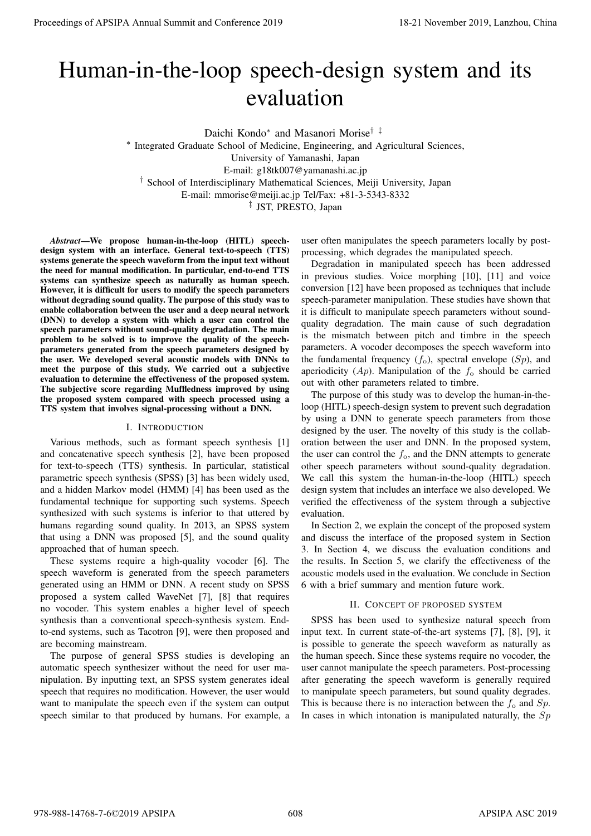# Human-in-the-loop speech-design system and its evaluation

Daichi Kondo*<sup>∗</sup>* and Masanori Morise*† ‡*

*∗* Integrated Graduate School of Medicine, Engineering, and Agricultural Sciences,

University of Yamanashi, Japan

E-mail: g18tk007@yamanashi.ac.jp

*†* School of Interdisciplinary Mathematical Sciences, Meiji University, Japan

E-mail: mmorise@meiji.ac.jp Tel/Fax: +81-3-5343-8332

*‡* JST, PRESTO, Japan

*Abstract*—We propose human-in-the-loop (HITL) speechdesign system with an interface. General text-to-speech (TTS) systems generate the speech waveform from the input text without the need for manual modification. In particular, end-to-end TTS systems can synthesize speech as naturally as human speech. However, it is difficult for users to modify the speech parameters without degrading sound quality. The purpose of this study was to enable collaboration between the user and a deep neural network (DNN) to develop a system with which a user can control the speech parameters without sound-quality degradation. The main problem to be solved is to improve the quality of the speechparameters generated from the speech parameters designed by the user. We developed several acoustic models with DNNs to meet the purpose of this study. We carried out a subjective evaluation to determine the effectiveness of the proposed system. The subjective score regarding Muffledness improved by using the proposed system compared with speech processed using a TTS system that involves signal-processing without a DNN. **Proceedings of APSIPA Annual Summit and Conference 2019**<br> **Proceedings of APSIPA Annual Summit and Conference 2019**<br> **Proceeding the summit and Conference 2019**<br> **Proceeding the summit and Conference 2019**<br> **Proceeding t** 

# I. INTRODUCTION

Various methods, such as formant speech synthesis [1] and concatenative speech synthesis [2], have been proposed for text-to-speech (TTS) synthesis. In particular, statistical parametric speech synthesis (SPSS) [3] has been widely used, and a hidden Markov model (HMM) [4] has been used as the fundamental technique for supporting such systems. Speech synthesized with such systems is inferior to that uttered by humans regarding sound quality. In 2013, an SPSS system that using a DNN was proposed [5], and the sound quality approached that of human speech.

These systems require a high-quality vocoder [6]. The speech waveform is generated from the speech parameters generated using an HMM or DNN. A recent study on SPSS proposed a system called WaveNet [7], [8] that requires no vocoder. This system enables a higher level of speech synthesis than a conventional speech-synthesis system. Endto-end systems, such as Tacotron [9], were then proposed and are becoming mainstream.

The purpose of general SPSS studies is developing an automatic speech synthesizer without the need for user manipulation. By inputting text, an SPSS system generates ideal speech that requires no modification. However, the user would want to manipulate the speech even if the system can output speech similar to that produced by humans. For example, a

user often manipulates the speech parameters locally by postprocessing, which degrades the manipulated speech.

Degradation in manipulated speech has been addressed in previous studies. Voice morphing [10], [11] and voice conversion [12] have been proposed as techniques that include speech-parameter manipulation. These studies have shown that it is difficult to manipulate speech parameters without soundquality degradation. The main cause of such degradation is the mismatch between pitch and timbre in the speech parameters. A vocoder decomposes the speech waveform into the fundamental frequency  $(f_0)$ , spectral envelope  $(Sp)$ , and aperiodicity  $(Ap)$ . Manipulation of the  $f_0$  should be carried out with other parameters related to timbre.

The purpose of this study was to develop the human-in-theloop (HITL) speech-design system to prevent such degradation by using a DNN to generate speech parameters from those designed by the user. The novelty of this study is the collaboration between the user and DNN. In the proposed system, the user can control the *f*o, and the DNN attempts to generate other speech parameters without sound-quality degradation. We call this system the human-in-the-loop (HITL) speech design system that includes an interface we also developed. We verified the effectiveness of the system through a subjective evaluation.

In Section 2, we explain the concept of the proposed system and discuss the interface of the proposed system in Section 3. In Section 4, we discuss the evaluation conditions and the results. In Section 5, we clarify the effectiveness of the acoustic models used in the evaluation. We conclude in Section 6 with a brief summary and mention future work.

# II. CONCEPT OF PROPOSED SYSTEM

SPSS has been used to synthesize natural speech from input text. In current state-of-the-art systems [7], [8], [9], it is possible to generate the speech waveform as naturally as the human speech. Since these systems require no vocoder, the user cannot manipulate the speech parameters. Post-processing after generating the speech waveform is generally required to manipulate speech parameters, but sound quality degrades. This is because there is no interaction between the  $f_0$  and  $Sp$ . In cases in which intonation is manipulated naturally, the *Sp*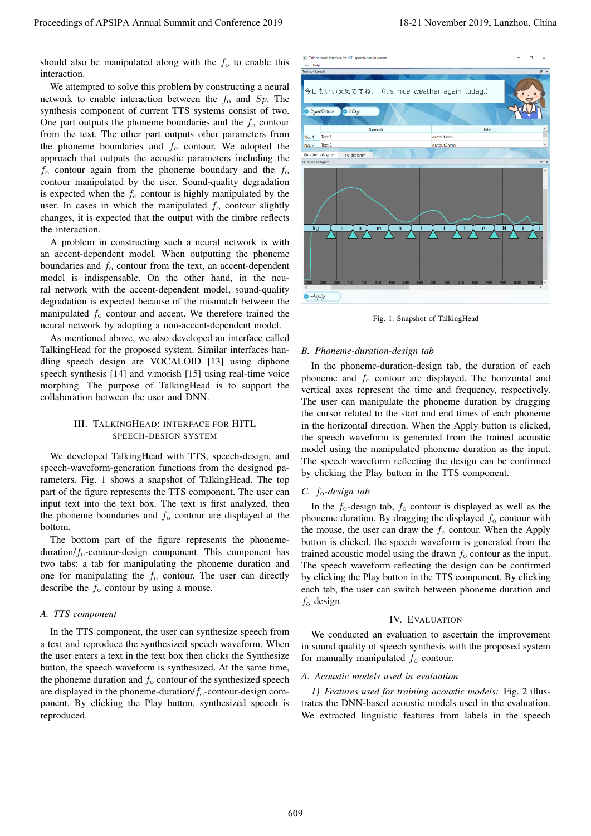should also be manipulated along with the  $f<sub>o</sub>$  to enable this interaction.

We attempted to solve this problem by constructing a neural network to enable interaction between the *f*<sup>o</sup> and *Sp*. The synthesis component of current TTS systems consist of two. One part outputs the phoneme boundaries and the  $f_0$  contour from the text. The other part outputs other parameters from the phoneme boundaries and  $f<sub>o</sub>$  contour. We adopted the approach that outputs the acoustic parameters including the  $f_0$  contour again from the phoneme boundary and the  $f_0$ contour manipulated by the user. Sound-quality degradation is expected when the  $f_0$  contour is highly manipulated by the user. In cases in which the manipulated  $f_0$  contour slightly changes, it is expected that the output with the timbre reflects the interaction.

A problem in constructing such a neural network is with an accent-dependent model. When outputting the phoneme boundaries and  $f_0$  contour from the text, an accent-dependent model is indispensable. On the other hand, in the neural network with the accent-dependent model, sound-quality degradation is expected because of the mismatch between the manipulated  $f_0$  contour and accent. We therefore trained the neural network by adopting a non-accent-dependent model.

As mentioned above, we also developed an interface called TalkingHead for the proposed system. Similar interfaces handling speech design are VOCALOID [13] using diphone speech synthesis [14] and v.morish [15] using real-time voice morphing. The purpose of TalkingHead is to support the collaboration between the user and DNN.

# III. TALKINGHEAD: INTERFACE FOR HITL SPEECH-DESIGN SYSTEM

We developed TalkingHead with TTS, speech-design, and speech-waveform-generation functions from the designed parameters. Fig. 1 shows a snapshot of TalkingHead. The top part of the figure represents the TTS component. The user can input text into the text box. The text is first analyzed, then the phoneme boundaries and *f*<sup>o</sup> contour are displayed at the bottom.

The bottom part of the figure represents the phonemeduration/ $f_0$ -contour-design component. This component has two tabs: a tab for manipulating the phoneme duration and one for manipulating the  $f_0$  contour. The user can directly describe the *f*<sup>o</sup> contour by using a mouse.

## *A. TTS component*

In the TTS component, the user can synthesize speech from a text and reproduce the synthesized speech waveform. When the user enters a text in the text box then clicks the Synthesize button, the speech waveform is synthesized. At the same time, the phoneme duration and  $f_0$  contour of the synthesized speech are displayed in the phoneme-duration/*f*o-contour-design component. By clicking the Play button, synthesized speech is reproduced.



Fig. 1. Snapshot of TalkingHead

#### *B. Phoneme-duration-design tab*

In the phoneme-duration-design tab, the duration of each phoneme and *f*<sup>o</sup> contour are displayed. The horizontal and vertical axes represent the time and frequency, respectively. The user can manipulate the phoneme duration by dragging the cursor related to the start and end times of each phoneme in the horizontal direction. When the Apply button is clicked, the speech waveform is generated from the trained acoustic model using the manipulated phoneme duration as the input. The speech waveform reflecting the design can be confirmed by clicking the Play button in the TTS component.

#### *C. f*o*-design tab*

In the  $f_0$ -design tab,  $f_0$  contour is displayed as well as the phoneme duration. By dragging the displayed  $f_0$  contour with the mouse, the user can draw the  $f_0$  contour. When the Apply button is clicked, the speech waveform is generated from the trained acoustic model using the drawn  $f_0$  contour as the input. The speech waveform reflecting the design can be confirmed by clicking the Play button in the TTS component. By clicking each tab, the user can switch between phoneme duration and *f*<sup>o</sup> design.

#### IV. EVALUATION

We conducted an evaluation to ascertain the improvement in sound quality of speech synthesis with the proposed system for manually manipulated  $f_0$  contour.

#### *A. Acoustic models used in evaluation*

*1) Features used for training acoustic models:* Fig. 2 illustrates the DNN-based acoustic models used in the evaluation. We extracted linguistic features from labels in the speech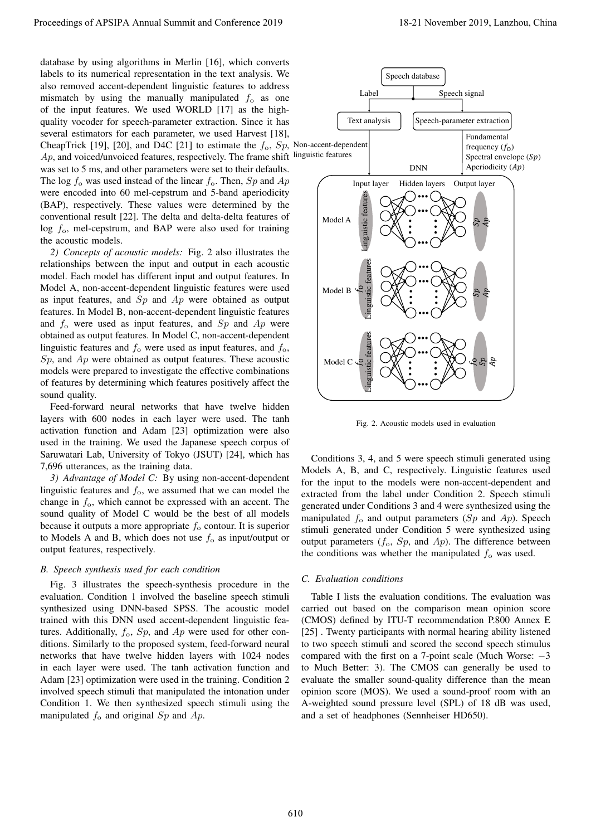database by using algorithms in Merlin [16], which converts labels to its numerical representation in the text analysis. We also removed accent-dependent linguistic features to address mismatch by using the manually manipulated  $f_0$  as one of the input features. We used WORLD [17] as the highquality vocoder for speech-parameter extraction. Since it has several estimators for each parameter, we used Harvest [18], CheapTrick [19], [20], and D4C [21] to estimate the *f*o, *Sp*, Non-accent-dependent Ap, and voiced/unvoiced features, respectively. The frame shift linguistic features was set to 5 ms, and other parameters were set to their defaults. The log *f*<sup>o</sup> was used instead of the linear *f*o. Then, *Sp* and *Ap* were encoded into 60 mel-cepstrum and 5-band aperiodicity (BAP), respectively. These values were determined by the conventional result [22]. The delta and delta-delta features of log *f*o, mel-cepstrum, and BAP were also used for training the acoustic models.

*2) Concepts of acoustic models:* Fig. 2 also illustrates the relationships between the input and output in each acoustic model. Each model has different input and output features. In Model A, non-accent-dependent linguistic features were used as input features, and *Sp* and *Ap* were obtained as output features. In Model B, non-accent-dependent linguistic features and *f*<sup>o</sup> were used as input features, and *Sp* and *Ap* were obtained as output features. In Model C, non-accent-dependent linguistic features and  $f_0$  were used as input features, and  $f_0$ , *Sp*, and *Ap* were obtained as output features. These acoustic models were prepared to investigate the effective combinations of features by determining which features positively affect the sound quality.

Feed-forward neural networks that have twelve hidden layers with 600 nodes in each layer were used. The tanh activation function and Adam [23] optimization were also used in the training. We used the Japanese speech corpus of Saruwatari Lab, University of Tokyo (JSUT) [24], which has 7,696 utterances, as the training data.

*3) Advantage of Model C:* By using non-accent-dependent linguistic features and  $f_0$ , we assumed that we can model the change in *f*o, which cannot be expressed with an accent. The sound quality of Model C would be the best of all models because it outputs a more appropriate *f*<sup>o</sup> contour. It is superior to Models A and B, which does not use  $f_0$  as input/output or output features, respectively.

# *B. Speech synthesis used for each condition*

Fig. 3 illustrates the speech-synthesis procedure in the evaluation. Condition 1 involved the baseline speech stimuli synthesized using DNN-based SPSS. The acoustic model trained with this DNN used accent-dependent linguistic features. Additionally,  $f_0$ ,  $Sp$ , and  $Ap$  were used for other conditions. Similarly to the proposed system, feed-forward neural networks that have twelve hidden layers with 1024 nodes in each layer were used. The tanh activation function and Adam [23] optimization were used in the training. Condition 2 involved speech stimuli that manipulated the intonation under Condition 1. We then synthesized speech stimuli using the manipulated *f*<sup>o</sup> and original *Sp* and *Ap*.



Fig. 2. Acoustic models used in evaluation

Conditions 3, 4, and 5 were speech stimuli generated using Models A, B, and C, respectively. Linguistic features used for the input to the models were non-accent-dependent and extracted from the label under Condition 2. Speech stimuli generated under Conditions 3 and 4 were synthesized using the manipulated  $f_0$  and output parameters (*Sp* and *Ap*). Speech stimuli generated under Condition 5 were synthesized using output parameters  $(f_0, Sp, \text{ and } Ap)$ . The difference between the conditions was whether the manipulated  $f_0$  was used.

### *C. Evaluation conditions*

Table I lists the evaluation conditions. The evaluation was carried out based on the comparison mean opinion score (CMOS) defined by ITU-T recommendation P.800 Annex E [25]. Twenty participants with normal hearing ability listened to two speech stimuli and scored the second speech stimulus compared with the first on a 7-point scale (Much Worse: *−*3 to Much Better: 3). The CMOS can generally be used to evaluate the smaller sound-quality difference than the mean opinion score (MOS). We used a sound-proof room with an A-weighted sound pressure level (SPL) of 18 dB was used, and a set of headphones (Sennheiser HD650).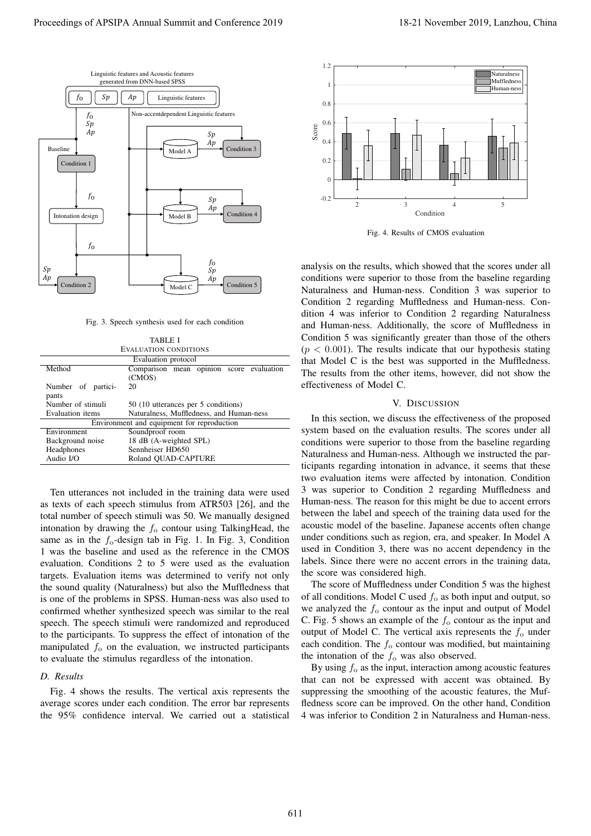

Fig. 3. Speech synthesis used for each condition

| <b>TABLE I</b>                             |                                          |
|--------------------------------------------|------------------------------------------|
| <b>EVALUATION CONDITIONS</b>               |                                          |
| Evaluation protocol                        |                                          |
| Method                                     | Comparison mean opinion score evaluation |
|                                            | (CMOS)                                   |
| Number of partici-                         | 20                                       |
| pants                                      |                                          |
| Number of stimuli                          | 50 (10 utterances per 5 conditions)      |
| Evaluation items                           | Naturalness, Muffledness, and Human-ness |
| Environment and equipment for reproduction |                                          |
| Environment                                | Soundproof room                          |
| Background noise                           | 18 dB (A-weighted SPL)                   |
| Headphones                                 | Sennheiser HD650                         |
| Audio I/O                                  | Roland OUAD-CAPTURE                      |
|                                            |                                          |

Ten utterances not included in the training data were used as texts of each speech stimulus from ATR503 [26], and the total number of speech stimuli was 50. We manually designed intonation by drawing the *f*<sup>o</sup> contour using TalkingHead, the same as in the  $f_0$ -design tab in Fig. 1. In Fig. 3, Condition 1 was the baseline and used as the reference in the CMOS evaluation. Conditions 2 to 5 were used as the evaluation targets. Evaluation items was determined to verify not only the sound quality (Naturalness) but also the Muffledness that is one of the problems in SPSS. Human-ness was also used to confirmed whether synthesized speech was similar to the real speech. The speech stimuli were randomized and reproduced to the participants. To suppress the effect of intonation of the manipulated  $f_0$  on the evaluation, we instructed participants to evaluate the stimulus regardless of the intonation.

#### *D. Results*

Fig. 4 shows the results. The vertical axis represents the average scores under each condition. The error bar represents the 95% confidence interval. We carried out a statistical



Fig. 4. Results of CMOS evaluation

analysis on the results, which showed that the scores under all conditions were superior to those from the baseline regarding Naturalness and Human-ness. Condition 3 was superior to Condition 2 regarding Muffledness and Human-ness. Condition 4 was inferior to Condition 2 regarding Naturalness and Human-ness. Additionally, the score of Muffledness in Condition 5 was significantly greater than those of the others  $(p < 0.001)$ . The results indicate that our hypothesis stating that Model C is the best was supported in the Muffledness. The results from the other items, however, did not show the effectiveness of Model C.

#### V. DISCUSSION

In this section, we discuss the effectiveness of the proposed system based on the evaluation results. The scores under all conditions were superior to those from the baseline regarding Naturalness and Human-ness. Although we instructed the participants regarding intonation in advance, it seems that these two evaluation items were affected by intonation. Condition 3 was superior to Condition 2 regarding Muffledness and Human-ness. The reason for this might be due to accent errors between the label and speech of the training data used for the acoustic model of the baseline. Japanese accents often change under conditions such as region, era, and speaker. In Model A used in Condition 3, there was no accent dependency in the labels. Since there were no accent errors in the training data, the score was considered high.

The score of Muffledness under Condition 5 was the highest of all conditions. Model C used *f*<sup>o</sup> as both input and output, so we analyzed the *f*<sup>o</sup> contour as the input and output of Model C. Fig. 5 shows an example of the *f*<sup>o</sup> contour as the input and output of Model C. The vertical axis represents the  $f_0$  under each condition. The  $f_0$  contour was modified, but maintaining the intonation of the  $f_0$  was also observed.

By using  $f_0$  as the input, interaction among acoustic features that can not be expressed with accent was obtained. By suppressing the smoothing of the acoustic features, the Muffledness score can be improved. On the other hand, Condition 4 was inferior to Condition 2 in Naturalness and Human-ness.